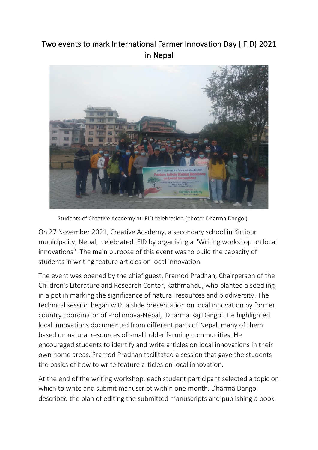## Two events to mark International Farmer Innovation Day (IFID) 2021 in Nepal



Students of Creative Academy at IFID celebration (photo: Dharma Dangol)

On 27 November 2021, Creative Academy, a secondary school in Kirtipur municipality, Nepal, celebrated IFID by organising a "Writing workshop on local innovations". The main purpose of this event was to build the capacity of students in writing feature articles on local innovation.

The event was opened by the chief guest, Pramod Pradhan, Chairperson of the Children's Literature and Research Center, Kathmandu, who planted a seedling in a pot in marking the significance of natural resources and biodiversity. The technical session began with a slide presentation on local innovation by former country coordinator of Prolinnova-Nepal, Dharma Raj Dangol. He highlighted local innovations documented from different parts of Nepal, many of them based on natural resources of smallholder farming communities. He encouraged students to identify and write articles on local innovations in their own home areas. Pramod Pradhan facilitated a session that gave the students the basics of how to write feature articles on local innovation.

At the end of the writing workshop, each student participant selected a topic on which to write and submit manuscript within one month. Dharma Dangol described the plan of editing the submitted manuscripts and publishing a book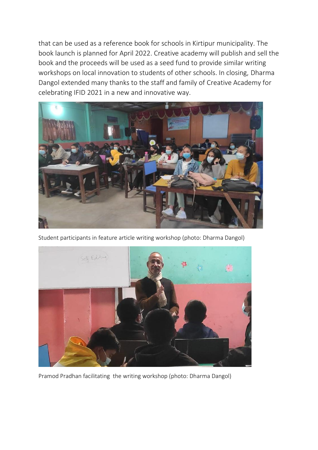that can be used as a reference book for schools in Kirtipur municipality. The book launch is planned for April 2022. Creative academy will publish and sell the book and the proceeds will be used as a seed fund to provide similar writing workshops on local innovation to students of other schools. In closing, Dharma Dangol extended many thanks to the staff and family of Creative Academy for celebrating IFID 2021 in a new and innovative way.



Student participants in feature article writing workshop (photo: Dharma Dangol)



Pramod Pradhan facilitating the writing workshop (photo: Dharma Dangol)